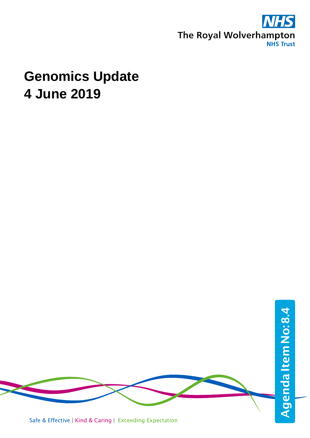

## **Genomics Update 4 June 2019**



Safe & Effective | Kind & Caring | Exceeding Expectation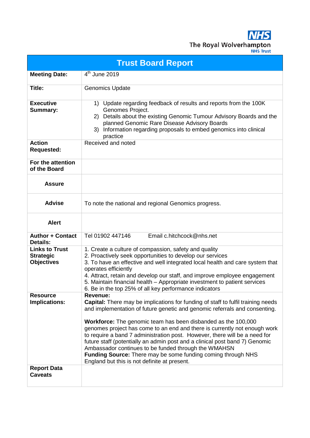**NHS** The Royal Wolverhampton

|                                                                | <b>Trust Board Report</b>                                                                                                                                                                                                                                                                                                                                                                                                                                                                                                                                                                                                                                                   |
|----------------------------------------------------------------|-----------------------------------------------------------------------------------------------------------------------------------------------------------------------------------------------------------------------------------------------------------------------------------------------------------------------------------------------------------------------------------------------------------------------------------------------------------------------------------------------------------------------------------------------------------------------------------------------------------------------------------------------------------------------------|
| <b>Meeting Date:</b>                                           | 4 <sup>th</sup> June 2019                                                                                                                                                                                                                                                                                                                                                                                                                                                                                                                                                                                                                                                   |
| Title:                                                         | <b>Genomics Update</b>                                                                                                                                                                                                                                                                                                                                                                                                                                                                                                                                                                                                                                                      |
| <b>Executive</b><br><b>Summary:</b>                            | Update regarding feedback of results and reports from the 100K<br>1)<br>Genomes Project.<br>Details about the existing Genomic Tumour Advisory Boards and the<br>2)<br>planned Genomic Rare Disease Advisory Boards<br>Information regarding proposals to embed genomics into clinical<br>3)<br>practice                                                                                                                                                                                                                                                                                                                                                                    |
| <b>Action</b><br><b>Requested:</b>                             | Received and noted                                                                                                                                                                                                                                                                                                                                                                                                                                                                                                                                                                                                                                                          |
| For the attention<br>of the Board                              |                                                                                                                                                                                                                                                                                                                                                                                                                                                                                                                                                                                                                                                                             |
| <b>Assure</b>                                                  |                                                                                                                                                                                                                                                                                                                                                                                                                                                                                                                                                                                                                                                                             |
| <b>Advise</b>                                                  | To note the national and regional Genomics progress.                                                                                                                                                                                                                                                                                                                                                                                                                                                                                                                                                                                                                        |
| <b>Alert</b>                                                   |                                                                                                                                                                                                                                                                                                                                                                                                                                                                                                                                                                                                                                                                             |
| <b>Author + Contact</b><br><b>Details:</b>                     | Email c.hitchcock@nhs.net<br>Tel 01902 447146                                                                                                                                                                                                                                                                                                                                                                                                                                                                                                                                                                                                                               |
| <b>Links to Trust</b><br><b>Strategic</b><br><b>Objectives</b> | 1. Create a culture of compassion, safety and quality<br>2. Proactively seek opportunities to develop our services<br>3. To have an effective and well integrated local health and care system that<br>operates efficiently<br>4. Attract, retain and develop our staff, and improve employee engagement<br>5. Maintain financial health – Appropriate investment to patient services<br>6. Be in the top 25% of all key performance indicators                                                                                                                                                                                                                             |
| <b>Resource</b><br>Implications:<br><b>Report Data</b>         | <b>Revenue:</b><br><b>Capital:</b> There may be implications for funding of staff to fulfil training needs<br>and implementation of future genetic and genomic referrals and consenting.<br>Workforce: The genomic team has been disbanded as the 100,000<br>genomes project has come to an end and there is currently not enough work<br>to require a band 7 administration post. However, there will be a need for<br>future staff (potentially an admin post and a clinical post band 7) Genomic<br>Ambassador continues to be funded through the WMAHSN<br>Funding Source: There may be some funding coming through NHS<br>England but this is not definite at present. |
| <b>Caveats</b>                                                 |                                                                                                                                                                                                                                                                                                                                                                                                                                                                                                                                                                                                                                                                             |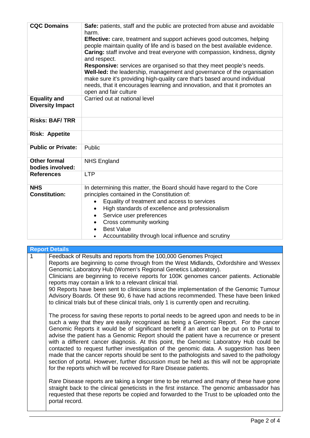| <b>CQC Domains</b>                             | Safe: patients, staff and the public are protected from abuse and avoidable<br>harm.                                                                                                                                                                                                                                                       |
|------------------------------------------------|--------------------------------------------------------------------------------------------------------------------------------------------------------------------------------------------------------------------------------------------------------------------------------------------------------------------------------------------|
|                                                | <b>Effective:</b> care, treatment and support achieves good outcomes, helping<br>people maintain quality of life and is based on the best available evidence.<br>Caring: staff involve and treat everyone with compassion, kindness, dignity<br>and respect.                                                                               |
|                                                | <b>Responsive:</b> services are organised so that they meet people's needs.<br>Well-led: the leadership, management and governance of the organisation<br>make sure it's providing high-quality care that's based around individual<br>needs, that it encourages learning and innovation, and that it promotes an<br>open and fair culture |
|                                                | Carried out at national level                                                                                                                                                                                                                                                                                                              |
| <b>Equality and</b><br><b>Diversity Impact</b> |                                                                                                                                                                                                                                                                                                                                            |
| <b>Risks: BAF/TRR</b>                          |                                                                                                                                                                                                                                                                                                                                            |
| <b>Risk: Appetite</b>                          |                                                                                                                                                                                                                                                                                                                                            |
| <b>Public or Private:</b>                      | Public                                                                                                                                                                                                                                                                                                                                     |
| <b>Other formal</b>                            | <b>NHS England</b>                                                                                                                                                                                                                                                                                                                         |
| bodies involved:                               |                                                                                                                                                                                                                                                                                                                                            |
| <b>References</b>                              | <b>LTP</b>                                                                                                                                                                                                                                                                                                                                 |
| <b>NHS</b><br><b>Constitution:</b>             | In determining this matter, the Board should have regard to the Core<br>principles contained in the Constitution of:                                                                                                                                                                                                                       |
|                                                | Equality of treatment and access to services                                                                                                                                                                                                                                                                                               |
|                                                | High standards of excellence and professionalism                                                                                                                                                                                                                                                                                           |
|                                                | Service user preferences<br>$\bullet$                                                                                                                                                                                                                                                                                                      |
|                                                |                                                                                                                                                                                                                                                                                                                                            |
|                                                | Cross community working<br><b>Best Value</b>                                                                                                                                                                                                                                                                                               |
|                                                |                                                                                                                                                                                                                                                                                                                                            |
|                                                | Accountability through local influence and scrutiny                                                                                                                                                                                                                                                                                        |

| <b>Report Details</b>                                                                                                                                                                                                                                                                                                                                                                                                                                                                                                                                                                                                                                                                                                                                                                                                         |
|-------------------------------------------------------------------------------------------------------------------------------------------------------------------------------------------------------------------------------------------------------------------------------------------------------------------------------------------------------------------------------------------------------------------------------------------------------------------------------------------------------------------------------------------------------------------------------------------------------------------------------------------------------------------------------------------------------------------------------------------------------------------------------------------------------------------------------|
| Feedback of Results and reports from the 100,000 Genomes Project<br>Reports are beginning to come through from the West Midlands, Oxfordshire and Wessex<br>Genomic Laboratory Hub (Women's Regional Genetics Laboratory).<br>Clinicians are beginning to receive reports for 100K genomes cancer patients. Actionable<br>reports may contain a link to a relevant clinical trial.<br>90 Reports have been sent to clinicians since the implementation of the Genomic Tumour<br>Advisory Boards. Of these 90, 6 have had actions recommended. These have been linked<br>to clinical trials but of these clinical trials, only 1 is currently open and recruiting.                                                                                                                                                             |
| The process for saving these reports to portal needs to be agreed upon and needs to be in<br>such a way that they are easily recognised as being a Genomic Report. For the cancer<br>Genomic Reports it would be of significant benefit if an alert can be put on to Portal to<br>advise the patient has a Genomic Report should the patient have a recurrence or present<br>with a different cancer diagnosis. At this point, the Genomic Laboratory Hub could be<br>contacted to request further investigation of the genomic data. A suggestion has been<br>made that the cancer reports should be sent to the pathologists and saved to the pathology<br>section of portal. However, further discussion must be held as this will not be appropriate<br>for the reports which will be received for Rare Disease patients. |
| Rare Disease reports are taking a longer time to be returned and many of these have gone<br>straight back to the clinical geneticists in the first instance. The genomic ambassador has<br>requested that these reports be copied and forwarded to the Trust to be uploaded onto the<br>portal record.                                                                                                                                                                                                                                                                                                                                                                                                                                                                                                                        |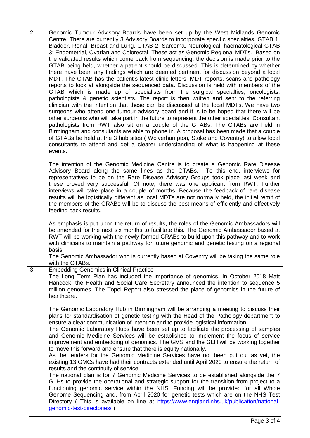| $\overline{2}$ | Genomic Tumour Advisory Boards have been set up by the West Midlands Genomic<br>Centre. There are currently 3 Advisory Boards to incorporate specific specialties. GTAB 1:<br>Bladder, Renal, Breast and Lung, GTAB 2: Sarcoma, Neurological, haematological GTAB<br>3: Endometrial, Ovarian and Colorectal. These act as Genomic Regional MDTs. Based on<br>the validated results which come back from sequencing, the decision is made prior to the<br>GTAB being held, whether a patient should be discussed. This is determined by whether<br>there have been any findings which are deemed pertinent for discussion beyond a local<br>MDT. The GTAB has the patient's latest clinic letters, MDT reports, scans and pathology<br>reports to look at alongside the sequenced data. Discussion is held with members of the<br>GTAB which is made up of specialists from the surgical specialties, oncologists,<br>pathologists & genetic scientists. The report is then written and sent to the referring<br>clinician with the intention that these can be discussed at the local MDTs. We have two<br>surgeons who attend one tumour advisory board and it is to be hoped that there will be<br>other surgeons who will take part in the future to represent the other specialties. Consultant<br>pathologists from RWT also sit on a couple of the GTABs. The GTABs are held in<br>Birmingham and consultants are able to phone in. A proposal has been made that a couple<br>of GTABs be held at the 3 hub sites (Wolverhampton, Stoke and Coventry) to allow local<br>consultants to attend and get a clearer understanding of what is happening at these<br>events. |
|----------------|------------------------------------------------------------------------------------------------------------------------------------------------------------------------------------------------------------------------------------------------------------------------------------------------------------------------------------------------------------------------------------------------------------------------------------------------------------------------------------------------------------------------------------------------------------------------------------------------------------------------------------------------------------------------------------------------------------------------------------------------------------------------------------------------------------------------------------------------------------------------------------------------------------------------------------------------------------------------------------------------------------------------------------------------------------------------------------------------------------------------------------------------------------------------------------------------------------------------------------------------------------------------------------------------------------------------------------------------------------------------------------------------------------------------------------------------------------------------------------------------------------------------------------------------------------------------------------------------------------------------------------------------------------------------------|
|                | The intention of the Genomic Medicine Centre is to create a Genomic Rare Disease<br>Advisory Board along the same lines as the GTABs. To this end, interviews for<br>representatives to be on the Rare Disease Advisory Groups took place last week and<br>these proved very successful. Of note, there was one applicant from RWT. Further<br>interviews will take place in a couple of months. Because the feedback of rare disease<br>results will be logistically different as local MDTs are not normally held, the initial remit of<br>the members of the GRABs will be to discuss the best means of efficiently and effectively<br>feeding back results.                                                                                                                                                                                                                                                                                                                                                                                                                                                                                                                                                                                                                                                                                                                                                                                                                                                                                                                                                                                                              |
|                | As emphasis is put upon the return of results, the roles of the Genomic Ambassadors will<br>be amended for the next six months to facilitate this. The Genomic Ambassador based at<br>RWT will be working with the newly formed GRABs to build upon this pathway and to work<br>with clinicians to maintain a pathway for future genomic and genetic testing on a regional<br>basis.<br>The Genomic Ambassador who is currently based at Coventry will be taking the same role<br>with the GTABs.                                                                                                                                                                                                                                                                                                                                                                                                                                                                                                                                                                                                                                                                                                                                                                                                                                                                                                                                                                                                                                                                                                                                                                            |
| 3              | <b>Embedding Genomics in Clinical Practice</b><br>The Long Term Plan has included the importance of genomics. In October 2018 Matt<br>Hancock, the Health and Social Care Secretary announced the intention to sequence 5<br>million genomes. The Topol Report also stressed the place of genomics in the future of<br>healthcare.                                                                                                                                                                                                                                                                                                                                                                                                                                                                                                                                                                                                                                                                                                                                                                                                                                                                                                                                                                                                                                                                                                                                                                                                                                                                                                                                           |
|                | The Genomic Laboratory Hub in Birmingham will be arranging a meeting to discuss their<br>plans for standardisation of genetic testing with the Head of the Pathology department to<br>ensure a clear communication of intention and to provide logistical information.<br>The Genomic Laboratory Hubs have been set up to facilitate the processing of samples<br>and Genomic Medicine Services will be established to implement the focus of service<br>improvement and embedding of genomics. The GMS and the GLH will be working together<br>to move this forward and ensure that there is equity nationally.<br>As the tenders for the Genomic Medicine Services have not been put out as yet, the<br>existing 13 GMCs have had their contracts extended until April 2020 to ensure the return of<br>results and the continuity of service.<br>The national plan is for 7 Genomic Medicine Services to be established alongside the 7<br>GLHs to provide the operational and strategic support for the transition from project to a<br>functioning genomic service within the NHS. Funding will be provided for all Whole<br>Genome Sequencing and, from April 2020 for genetic tests which are on the NHS Test<br>Directory (This is available on line at https://www.england.nhs.uk/publication/national-<br>genomic-test-directories/)                                                                                                                                                                                                                                                                                                                                |